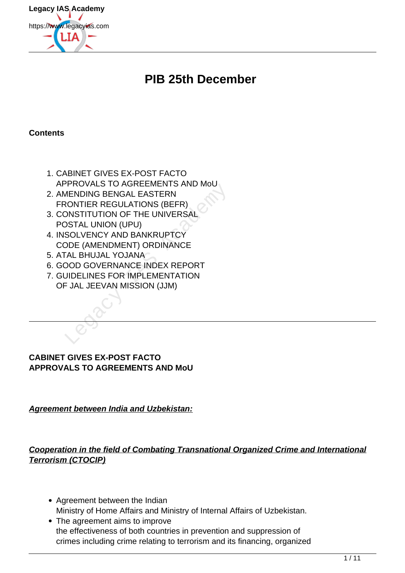

# **PIB 25th December**

#### **Contents**

- 1. CABINET GIVES EX-POST FACTO APPROVALS TO AGREEMENTS AND MoU
- 2. AMENDING BENGAL EASTERN FRONTIER REGULATIONS (BEFR) TROVALS TO AGREEMENTS AND MODEL<br>
MENDING BENGAL EASTERN<br>
CONTIER REGULATIONS (BEFR)<br>
DSTAL UNION (UPU)<br>
SOLVENCY AND BANKRUPTCY<br>
DDE (AMENDMENT) ORDINANCE<br>
TAL BHUJAL YOJANA<br>
DOD GOVERNANCE INDEX REPORT<br>
JIDELINES FOR IMPL
- 3. CONSTITUTION OF THE UNIVERSAL POSTAL UNION (UPU)
- 4. INSOLVENCY AND BANKRUPTCY CODE (AMENDMENT) ORDINANCE
- 5. ATAL BHUJAL YOJANA
- 6. GOOD GOVERNANCE INDEX REPORT
- 7. GUIDELINES FOR IMPLEMENTATION OF JAL JEEVAN MISSION (JJM)

### **CABINET GIVES EX-POST FACTO APPROVALS TO AGREEMENTS AND MoU**

**Agreement between India and Uzbekistan:**

**Cooperation in the field of Combating Transnational Organized Crime and International Terrorism (CTOCIP)**

- Agreement between the Indian Ministry of Home Affairs and Ministry of Internal Affairs of Uzbekistan.
- The agreement aims to improve the effectiveness of both countries in prevention and suppression of crimes including crime relating to terrorism and its financing, organized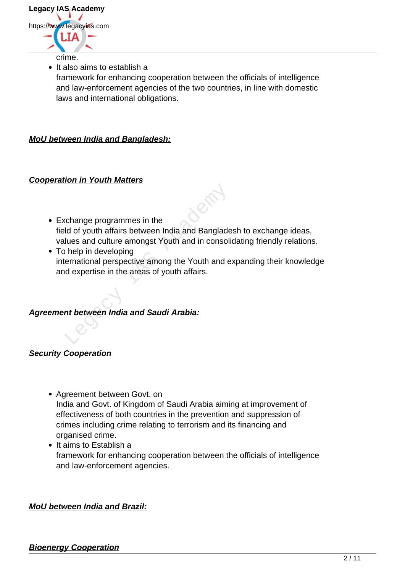

• It also aims to establish a

framework for enhancing cooperation between the officials of intelligence and law-enforcement agencies of the two countries, in line with domestic laws and international obligations.

**MoU between India and Bangladesh:**

#### **Cooperation in Youth Matters**

- Exchange programmes in the field of youth affairs between India and Bangladesh to exchange ideas, values and culture amongst Youth and in consolidating friendly relations. change programmes in the<br>
Id of youth affairs between India and Banglade<br>
Iues and culture amongst Youth and in consoli<br>
In the mericipal perspective among the Youth and e<br>
India areas of youth affairs.<br>
Intertween India a
- To help in developing international perspective among the Youth and expanding their knowledge and expertise in the areas of youth affairs.

### **Agreement between India and Saudi Arabia:**

#### **Security Cooperation**

- Agreement between Govt. on India and Govt. of Kingdom of Saudi Arabia aiming at improvement of effectiveness of both countries in the prevention and suppression of crimes including crime relating to terrorism and its financing and organised crime.
- $\bullet$  It aims to Establish a framework for enhancing cooperation between the officials of intelligence and law-enforcement agencies.

#### **MoU between India and Brazil:**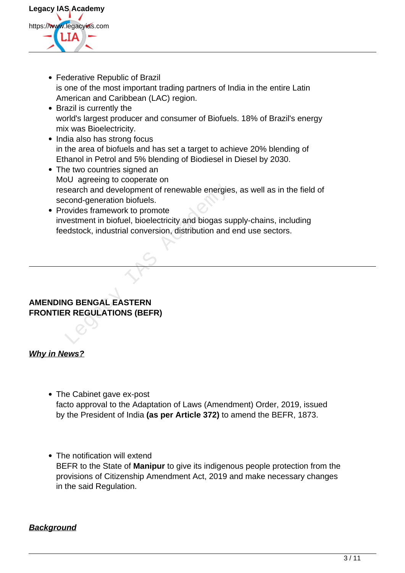

- Federative Republic of Brazil is one of the most important trading partners of India in the entire Latin American and Caribbean (LAC) region.
- Brazil is currently the world's largest producer and consumer of Biofuels. 18% of Brazil's energy mix was Bioelectricity.
- India also has strong focus in the area of biofuels and has set a target to achieve 20% blending of Ethanol in Petrol and 5% blending of Biodiesel in Diesel by 2030.
- The two countries signed an MoU agreeing to cooperate on research and development of renewable energies, as well as in the field of second-generation biofuels.
- Provides framework to promote investment in biofuel, bioelectricity and biogas supply-chains, including feedstock, industrial conversion, distribution and end use sectors. Example and development of renewable energie<br>
cond-generation biofuels.<br>
ovides framework to promote<br>
vestment in biofuel, bioelectricity and biogas suedstock, industrial conversion, distribution and<br> **EXACAL EXACAL EXACAL**

## **AMENDING BENGAL EASTERN FRONTIER REGULATIONS (BEFR)**

## **Why in News?**

- The Cabinet gave ex-post facto approval to the Adaptation of Laws (Amendment) Order, 2019, issued by the President of India **(as per Article 372)** to amend the BEFR, 1873.
- The notification will extend BEFR to the State of **Manipur** to give its indigenous people protection from the provisions of Citizenship Amendment Act, 2019 and make necessary changes in the said Regulation.

## **Background**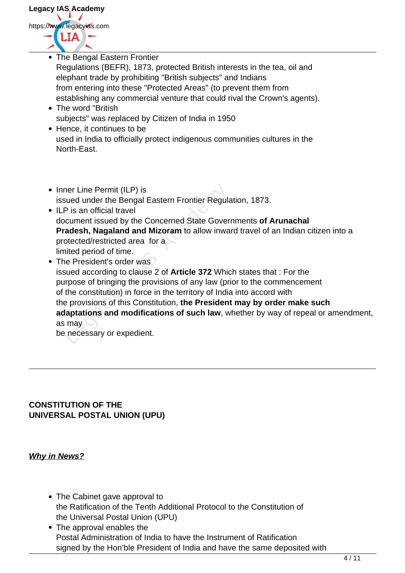

• The Bengal Eastern Frontier Regulations (BEFR), 1873, protected British interests in the tea, oil and elephant trade by prohibiting "British subjects" and Indians from entering into these "Protected Areas" (to prevent them from establishing any commercial venture that could rival the Crown's agents). • The word "British" subjects" was replaced by Citizen of India in 1950 • Hence, it continues to be used in India to officially protect indigenous communities cultures in the North-East. • Inner Line Permit (ILP) is issued under the Bengal Eastern Frontier Regulation, 1873. • ILP is an official travel document issued by the Concerned State Governments **of Arunachal Pradesh, Nagaland and Mizoram** to allow inward travel of an Indian citizen into a protected/restricted area for a limited period of time. • The President's order was issued according to clause 2 of **Article 372** Which states that : For the purpose of bringing the provisions of any law (prior to the commencement of the constitution) in force in the territory of India into accord with the provisions of this Constitution, **the President may by order make such adaptations and modifications of such law**, whether by way of repeal or amendment, as may be necessary or expedient. The Permit (ILP) is<br>sued under the Bengal Eastern Frontier Regula<br>P is an official travel<br>cument issued by the Concerned State Govern<br>adesh, Nagaland and Mizoram to allow inwa<br>otected/restricted area for a<br>ited period of t

### **CONSTITUTION OF THE UNIVERSAL POSTAL UNION (UPU)**

## **Why in News?**

- The Cabinet gave approval to the Ratification of the Tenth Additional Protocol to the Constitution of the Universal Postal Union (UPU)
- The approval enables the Postal Administration of India to have the Instrument of Ratification signed by the Hon'ble President of India and have the same deposited with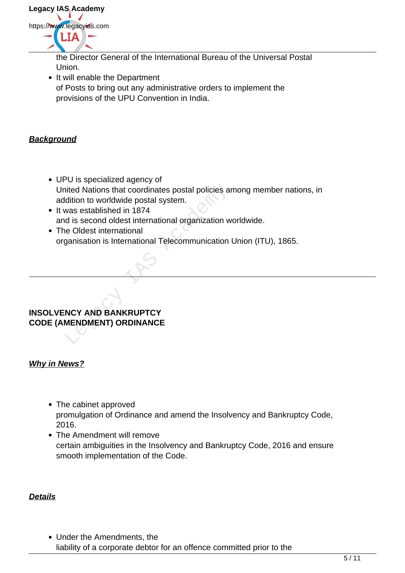

the Director General of the International Bureau of the Universal Postal Union.

• It will enable the Department of Posts to bring out any administrative orders to implement the provisions of the UPU Convention in India.

## **Background**

- UPU is specialized agency of United Nations that coordinates postal policies among member nations, in addition to worldwide postal system. Nations that coordinates postal policies and<br>
Academy of Markonich of Worldwide postal system Markonson established in 1874<br>
Academy Second of Markonical System and Contraction of Markonson<br>
Contractional Telecommunication
- It was established in 1874 and is second oldest international organization worldwide.
- The Oldest international organisation is International Telecommunication Union (ITU), 1865.

### **INSOLVENCY AND BANKRUPTCY CODE (AMENDMENT) ORDINANCE**

### **Why in News?**

- The cabinet approved promulgation of Ordinance and amend the Insolvency and Bankruptcy Code, 2016.
- The Amendment will remove certain ambiguities in the Insolvency and Bankruptcy Code, 2016 and ensure smooth implementation of the Code.

### **Details**

Under the Amendments, the liability of a corporate debtor for an offence committed prior to the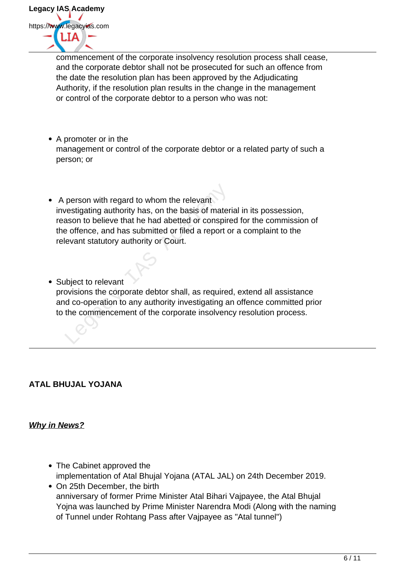

commencement of the corporate insolvency resolution process shall cease, and the corporate debtor shall not be prosecuted for such an offence from the date the resolution plan has been approved by the Adjudicating Authority, if the resolution plan results in the change in the management or control of the corporate debtor to a person who was not:

- A promoter or in the management or control of the corporate debtor or a related party of such a person; or
- A person with regard to whom the relevant investigating authority has, on the basis of material in its possession, reason to believe that he had abetted or conspired for the commission of the offence, and has submitted or filed a report or a complaint to the relevant statutory authority or Court. person with regard to whom the relevant<br>vestigating authority has, on the basis of mater<br>ason to believe that he had abetted or conspire<br>a offence, and has submitted or filed a report of<br>evant statutory authority or Court.
- Subject to relevant provisions the corporate debtor shall, as required, extend all assistance and co-operation to any authority investigating an offence committed prior to the commencement of the corporate insolvency resolution process.

## **ATAL BHUJAL YOJANA**

## **Why in News?**

- The Cabinet approved the implementation of Atal Bhujal Yojana (ATAL JAL) on 24th December 2019.
- On 25th December, the birth anniversary of former Prime Minister Atal Bihari Vajpayee, the Atal Bhujal Yojna was launched by Prime Minister Narendra Modi (Along with the naming of Tunnel under Rohtang Pass after Vajpayee as "Atal tunnel")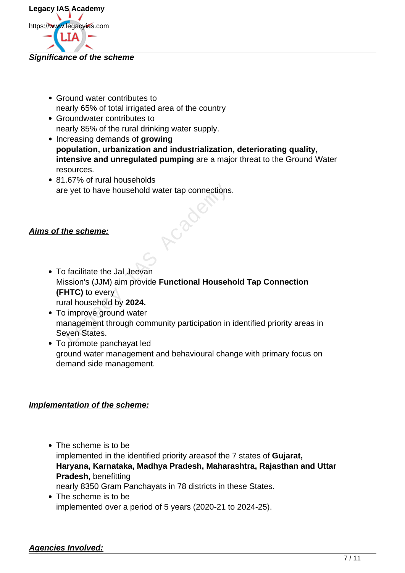

- Ground water contributes to nearly 65% of total irrigated area of the country
- Groundwater contributes to nearly 85% of the rural drinking water supply.
- Increasing demands of **growing population, urbanization and industrialization, deteriorating quality, intensive and unregulated pumping** are a major threat to the Ground Water resources.
- 81.67% of rural households are yet to have household water tap connections.

## **Aims of the scheme:**

- To facilitate the Jal Jeevan Mission's (JJM) aim provide **Functional Household Tap Connection (FHTC)** to every rural household by **2024.** Exercise yet to have household water tap connections<br>
the scheme:<br> **Exercise Scheme:**<br> **Exercise Scheme:**<br> **Exercise Scheme:**<br> **Exercise Scheme Scheme Scheme Scheme Scheme Scheme Scheme Scheme Scheme Scheme Scheme Scheme S**
- To improve ground water management through community participation in identified priority areas in Seven States.
- To promote panchayat led ground water management and behavioural change with primary focus on demand side management.

### **Implementation of the scheme:**

- The scheme is to be implemented in the identified priority areasof the 7 states of **Gujarat, Haryana, Karnataka, Madhya Pradesh, Maharashtra, Rajasthan and Uttar Pradesh,** benefitting nearly 8350 Gram Panchayats in 78 districts in these States.
- The scheme is to be implemented over a period of 5 years (2020-21 to 2024-25).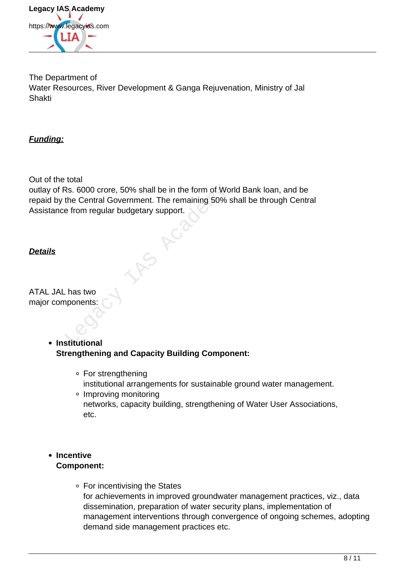

The Department of Water Resources, River Development & Ganga Rejuvenation, Ministry of Jal Shakti

**Funding:**

Out of the total

outlay of Rs. 6000 crore, 50% shall be in the form of World Bank loan, and be repaid by the Central Government. The remaining 50% shall be through Central Assistance from regular budgetary support. Rs. 6000 crore, 50% shall be in the form of Workhe Central Government. The remaining 50% shall be in the form regular budgetary support.

# **Details**

ATAL JAL has two major components:

- **Institutional Strengthening and Capacity Building Component:** 
	- For strengthening institutional arrangements for sustainable ground water management.
	- Improving monitoring networks, capacity building, strengthening of Water User Associations, etc.
- **Incentive Component:**
	- For incentivising the States for achievements in improved groundwater management practices, viz., data dissemination, preparation of water security plans, implementation of management interventions through convergence of ongoing schemes, adopting demand side management practices etc.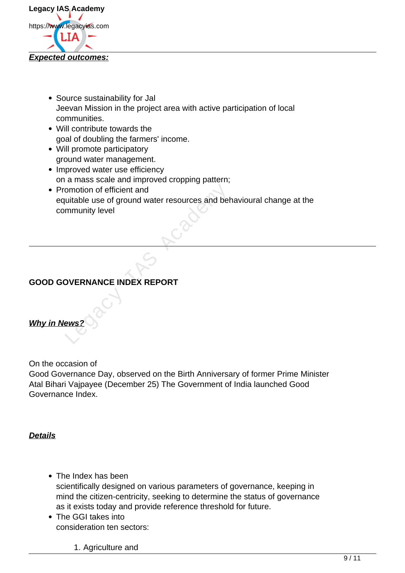

- Source sustainability for Jal Jeevan Mission in the project area with active participation of local communities.
- Will contribute towards the goal of doubling the farmers' income.
- Will promote participatory ground water management.
- Improved water use efficiency on a mass scale and improved cropping pattern;
- Promotion of efficient and equitable use of ground water resources and behavioural change at the community level omotion of efficient and<br>uitable use of ground water resources and beh<br>mmunity level<br><br>DVERNANCE INDEX REPORT<br>ews?

# **GOOD GOVERNANCE INDEX REPORT**

## **Why in News?**

On the occasion of

Good Governance Day, observed on the Birth Anniversary of former Prime Minister Atal Bihari Vajpayee (December 25) The Government of India launched Good Governance Index.

**Details**

- The Index has been scientifically designed on various parameters of governance, keeping in mind the citizen-centricity, seeking to determine the status of governance as it exists today and provide reference threshold for future.
- The GGI takes into consideration ten sectors:
	- 1. Agriculture and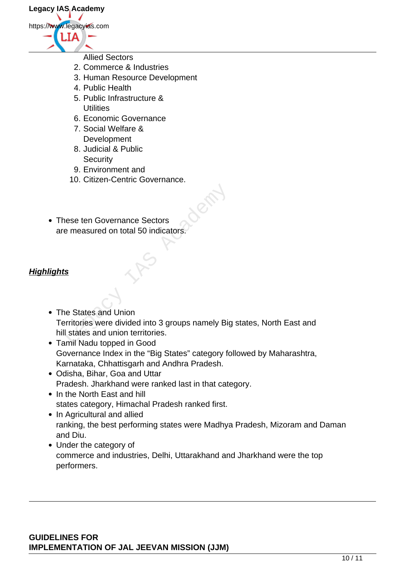- Allied Sectors
- 2. Commerce & Industries
- 3. Human Resource Development
- 4. Public Health
- 5. Public Infrastructure & **Utilities**
- 6. Economic Governance
- 7. Social Welfare & Development
- 8. Judicial & Public **Security**
- 9. Environment and
- 10. Citizen-Centric Governance.
- These ten Governance Sectors are measured on total 50 indicators.

## **Highlights**

- The States and Union Territories were divided into 3 groups namely Big states, North East and hill states and union territories. Examples the Governance Sectors<br>
Examples the measured on total 50 indicators.<br>
Santa China<br>
Examples and Union<br>
Examples the States and union territories.<br>
The States and union territories.<br>
The States and union territori
- Tamil Nadu topped in Good Governance Index in the "Big States" category followed by Maharashtra, Karnataka, Chhattisgarh and Andhra Pradesh.
- Odisha, Bihar, Goa and Uttar Pradesh. Jharkhand were ranked last in that category.
- In the North East and hill states category, Himachal Pradesh ranked first.
- In Agricultural and allied ranking, the best performing states were Madhya Pradesh, Mizoram and Daman and Diu.
- Under the category of commerce and industries, Delhi, Uttarakhand and Jharkhand were the top performers.